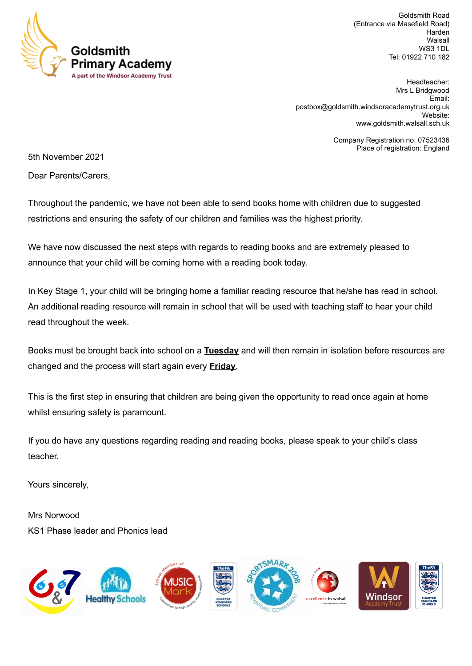

Goldsmith Road (Entrance via Masefield Road) Harden **Walsall** WS3 1DL Tel: 01922 710 182

Headteacher: Mrs L Bridgwood Email: [postbox@goldsmith.windsoracademytrust.org.uk](mailto:postbox@goldsmith.windsoracademytrust.org.uk) Website: [www.goldsmith.walsall.sch.uk](http://www.goldsmith.walsall.sch.uk)

> Company Registration no: 07523436 Place of registration: England

5th November 2021

Dear Parents/Carers,

Throughout the pandemic, we have not been able to send books home with children due to suggested restrictions and ensuring the safety of our children and families was the highest priority.

We have now discussed the next steps with regards to reading books and are extremely pleased to announce that your child will be coming home with a reading book today.

In Key Stage 1, your child will be bringing home a familiar reading resource that he/she has read in school. An additional reading resource will remain in school that will be used with teaching staff to hear your child read throughout the week.

Books must be brought back into school on a **Tuesday** and will then remain in isolation before resources are changed and the process will start again every **Friday**.

This is the first step in ensuring that children are being given the opportunity to read once again at home whilst ensuring safety is paramount.

If you do have any questions regarding reading and reading books, please speak to your child's class teacher.

Yours sincerely,

Mrs Norwood KS1 Phase leader and Phonics lead